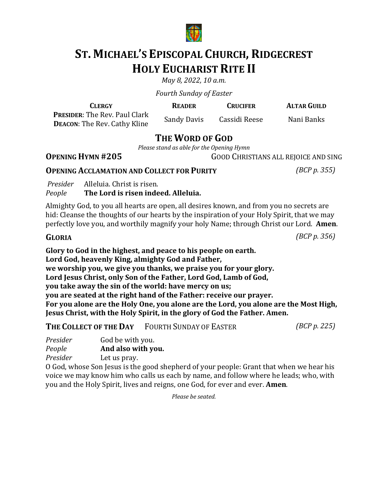

# **ST. MICHAEL'S EPISCOPAL CHURCH, RIDGECREST HOLY EUCHARIST RITE II**

*May 8, 2022, 10 a.m.*

*Fourth Sunday of Easter*

**CLERGY READER CRUCIFER ALTAR GUILD PRESIDER:** The Rev. Paul Clark **DEACON:** The Nev. 1 auf Clark Sandy Davis Cassidi Reese Nani Banks **DEACON:** The Rev. Cathy Kline

**THE WORD OF GOD**

*Please stand as able for the Opening Hymn* 

**OPENING HYMN #205** GOOD CHRISTIANS ALL REJOICE AND SING

#### **OPENING ACCLAMATION AND COLLECT FOR PURITY** *(BCP p. 355)*

*Presider* Alleluia. Christ is risen.<br>**People The Lord is risen inde** 

**The Lord is risen indeed. Alleluia.** 

Almighty God, to you all hearts are open, all desires known, and from you no secrets are hid: Cleanse the thoughts of our hearts by the inspiration of your Holy Spirit, that we may perfectly love you, and worthily magnify your holy Name; through Christ our Lord. **Amen.** 

**GLORIA** *(BCP p. 356)* 

Glory to God in the highest, and peace to his people on earth. Lord God, heavenly King, almighty God and Father, we worship you, we give you thanks, we praise you for your glory. Lord Jesus Christ, only Son of the Father, Lord God, Lamb of God, **you take away the sin of the world: have mercy on us; you are seated at the right hand of the Father: receive our prayer.** For you alone are the Holy One, you alone are the Lord, you alone are the Most High, **Jesus Christ, with the Holy Spirit, in the glory of God the Father. Amen.** 

**THE COLLECT OF THE DAY** FOURTH SUNDAY OF EASTER *(BCP p. 225)* 

*Presider* God be with you.<br>*People* **And also with you.** 

And also with you.

*Presider* Let us pray.

O God, whose Son Jesus is the good shepherd of your people: Grant that when we hear his voice we may know him who calls us each by name, and follow where he leads; who, with you and the Holy Spirit, lives and reigns, one God, for ever and ever. **Amen.** 

*Please be seated.*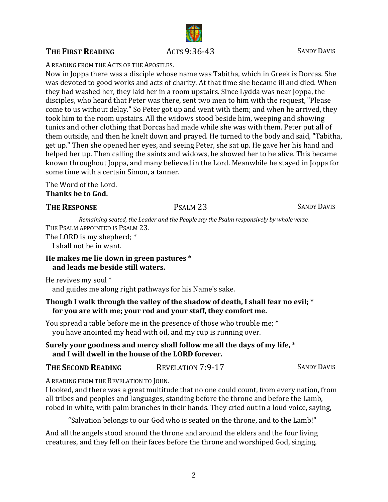## 2

# **THE FIRST READING ACTS 9:36-43** SANDY DAVIS

A READING FROM THE ACTS OF THE APOSTLES.

Now in Joppa there was a disciple whose name was Tabitha, which in Greek is Dorcas. She was devoted to good works and acts of charity. At that time she became ill and died. When they had washed her, they laid her in a room upstairs. Since Lydda was near Joppa, the disciples, who heard that Peter was there, sent two men to him with the request, "Please come to us without delay." So Peter got up and went with them; and when he arrived, they took him to the room upstairs. All the widows stood beside him, weeping and showing tunics and other clothing that Dorcas had made while she was with them. Peter put all of them outside, and then he knelt down and prayed. He turned to the body and said, "Tabitha, get up." Then she opened her eyes, and seeing Peter, she sat up. He gave her his hand and helped her up. Then calling the saints and widows, he showed her to be alive. This became known throughout Joppa, and many believed in the Lord. Meanwhile he stayed in Joppa for some time with a certain Simon, a tanner.

The Word of the Lord. **Thanks be to God.** 

# **THE RESPONSE** PSALM 23 SANDY DAVIS

Remaining seated, the Leader and the People say the Psalm responsively by whole verse. THE PSALM APPOINTED IS PSALM 23.

The LORD is my shepherd; \*

I shall not be in want.

### He makes me lie down in green pastures \* and leads me beside still waters.

He revives my soul  $*$ 

and guides me along right pathways for his Name's sake.

## Though I walk through the valley of the shadow of death, I shall fear no evil; \* for you are with me; your rod and your staff, they comfort me.

You spread a table before me in the presence of those who trouble me; \* you have anointed my head with oil, and my cup is running over.

## Surely your goodness and mercy shall follow me all the days of my life, \* and I will dwell in the house of the LORD forever.

# **THE SECOND READING** REVELATION 7:9-17 SANDY DAVIS

A READING FROM THE REVELATION TO JOHN.

I looked, and there was a great multitude that no one could count, from every nation, from all tribes and peoples and languages, standing before the throne and before the Lamb, robed in white, with palm branches in their hands. They cried out in a loud voice, saying,

"Salvation belongs to our God who is seated on the throne, and to the Lamb!"

And all the angels stood around the throne and around the elders and the four living creatures, and they fell on their faces before the throne and worshiped God, singing,

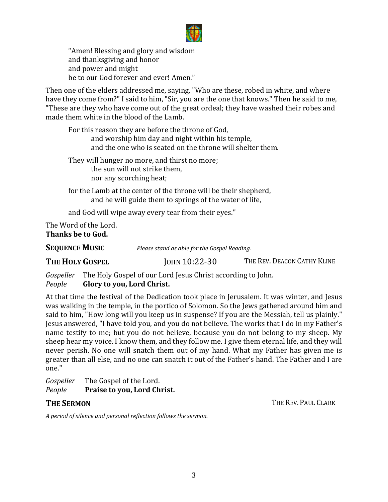

"Amen! Blessing and glory and wisdom and thanksgiving and honor and power and might be to our God forever and ever! Amen."

Then one of the elders addressed me, saying, "Who are these, robed in white, and where have they come from?" I said to him, "Sir, you are the one that knows." Then he said to me, "These are they who have come out of the great ordeal; they have washed their robes and made them white in the blood of the Lamb.

For this reason they are before the throne of God, and worship him day and night within his temple, and the one who is seated on the throne will shelter them.

They will hunger no more, and thirst no more; the sun will not strike them, nor any scorching heat;

for the Lamb at the center of the throne will be their shepherd, and he will guide them to springs of the water of life,

and God will wipe away every tear from their eyes."

The Word of the Lord. **Thanks be to God.** 

**SEQUENCE MUSIC** *Please stand as able for the Gospel Reading.* 

**THE HOLY GOSPEL JOHN 10:22-30** THE REV. DEACON CATHY KLINE

*Gospeller* The Holy Gospel of our Lord Jesus Christ according to John.<br>People **Glory to you, Lord Christ. Glory to you, Lord Christ.** 

At that time the festival of the Dedication took place in Jerusalem. It was winter, and Jesus was walking in the temple, in the portico of Solomon. So the Jews gathered around him and said to him, "How long will you keep us in suspense? If you are the Messiah, tell us plainly." Jesus answered, "I have told you, and you do not believe. The works that I do in my Father's name testify to me; but you do not believe, because you do not belong to my sheep. My sheep hear my voice. I know them, and they follow me. I give them eternal life, and they will never perish. No one will snatch them out of my hand. What my Father has given me is greater than all else, and no one can snatch it out of the Father's hand. The Father and I are one."

*Gospeller* The Gospel of the Lord.<br>*People* **Praise to you, Lord Ch Praise to you, Lord Christ.** 

*A period of silence and personal reflection follows the sermon.*

**THE SERMON** THE REV. PAUL CLARK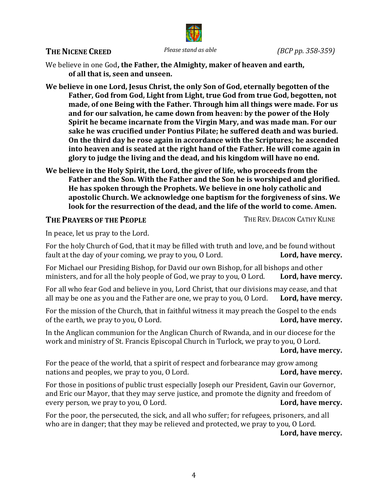### **THE NICENE CREED** *Please stand as able (BCP pp. 358-359)*



We believe in one God, the Father, the Almighty, maker of heaven and earth, of all that is, seen and unseen.

We believe in one Lord, Jesus Christ, the only Son of God, eternally begotten of the Father, God from God, Light from Light, true God from true God, begotten, not made, of one Being with the Father. Through him all things were made. For us and for our salvation, he came down from heaven: by the power of the Holy **Spirit he became incarnate from the Virgin Mary, and was made man. For our** sake he was crucified under Pontius Pilate; he suffered death and was buried. On the third day he rose again in accordance with the Scriptures; he ascended into heaven and is seated at the right hand of the Father. He will come again in glory to judge the living and the dead, and his kingdom will have no end.

We believe in the Holy Spirit, the Lord, the giver of life, who proceeds from the **Father and the Son. With the Father and the Son he is worshiped and glorified.** He has spoken through the Prophets. We believe in one holy catholic and apostolic Church. We acknowledge one baptism for the forgiveness of sins. We look for the resurrection of the dead, and the life of the world to come. Amen.

### **THE PRAYERS OF THE PEOPLE** THE **THE REV. DEACON CATHY KLINE**

In peace, let us pray to the Lord.

For the holy Church of God, that it may be filled with truth and love, and be found without fault at the day of your coming, we pray to you, O Lord. **Lord, have mercy.** fault at the day of your coming, we pray to you, O Lord.

For Michael our Presiding Bishop, for David our own Bishop, for all bishops and other ministers, and for all the holy people of God, we pray to you, O Lord. Lord, have mercy. ministers, and for all the holy people of God, we pray to you, O Lord.

For all who fear God and believe in you, Lord Christ, that our divisions may cease, and that all may be one as you and the Father are one, we pray to you, O Lord. Lord, have mercy. all may be one as you and the Father are one, we pray to you, O Lord.

For the mission of the Church, that in faithful witness it may preach the Gospel to the ends of the earth, we pray to you, O Lord. of the earth, we pray to you, O Lord.

In the Anglican communion for the Anglican Church of Rwanda, and in our diocese for the work and ministry of St. Francis Episcopal Church in Turlock, we pray to you, O Lord.

#### Lord, have mercy.

For the peace of the world, that a spirit of respect and forbearance may grow among<br>nations and peoples, we pray to you, O Lord. **Lord brand to the lord, have mercy.** nations and peoples, we pray to you, O Lord.

For those in positions of public trust especially Joseph our President, Gavin our Governor, and Eric our Mayor, that they may serve justice, and promote the dignity and freedom of every person, we pray to you, O Lord. every person, we pray to you, O Lord.

For the poor, the persecuted, the sick, and all who suffer; for refugees, prisoners, and all who are in danger; that they may be relieved and protected, we pray to you, O Lord.

Lord, have mercy.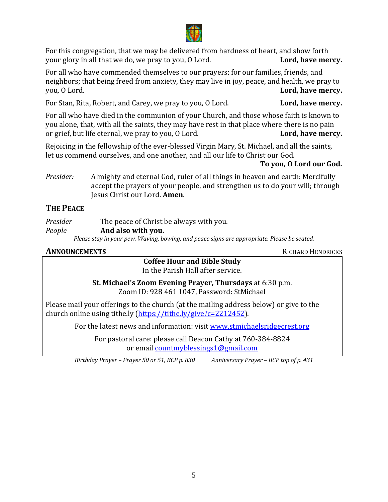For this congregation, that we may be delivered from hardness of heart, and show forth your glory in all that we do, we pray to you, O Lord. **Lord, have mercy.** your glory in all that we do, we pray to you, O Lord.

For all who have commended themselves to our prayers; for our families, friends, and neighbors; that being freed from anxiety, they may live in joy, peace, and health, we pray to you, O Lord. Lord, have mercy.

For Stan, Rita, Robert, and Carey, we pray to you, O Lord. **Lord, have mercy.** 

For all who have died in the communion of your Church, and those whose faith is known to you alone, that, with all the saints, they may have rest in that place where there is no pain<br>or grief, but life eternal, we pray to you, O Lord.<br>**Lord, have mercy.** or grief, but life eternal, we pray to you, O Lord.

Rejoicing in the fellowship of the ever-blessed Virgin Mary, St. Michael, and all the saints, let us commend ourselves, and one another, and all our life to Christ our God.

### To you, O Lord our God.

*Presider:* Almighty and eternal God, ruler of all things in heaven and earth: Mercifully accept the prayers of your people, and strengthen us to do your will; through Jesus Christ our Lord. **Amen**.

# **THE PEACE**

| Presider | The peace of Christ be always with you.                                                     |  |
|----------|---------------------------------------------------------------------------------------------|--|
| People   | And also with you.                                                                          |  |
|          | Please stay in your pew. Waving, bowing, and peace signs are appropriate. Please be seated. |  |

**ANNOUNCEMENTS** RICHARD HENDRICKS

## **St. Michael's Zoom Evening Prayer, Thursdays** at 6:30 p.m. Zoom ID: 928 461 1047, Password: StMichael

**Coffee Hour and Bible Study** In the Parish Hall after service.

Please mail your offerings to the church (at the mailing address below) or give to the church online using tithe.ly (https://tithe.ly/give?c=2212452).

For the latest news and information: visit www.stmichaelsridgecrest.org

For pastoral care: please call Deacon Cathy at 760-384-8824 or email countmyblessings1@gmail.com

*Birthday Prayer – Prayer 50 or 51, BCP p. 830 Anniversary Prayer – BCP top of p. 431*

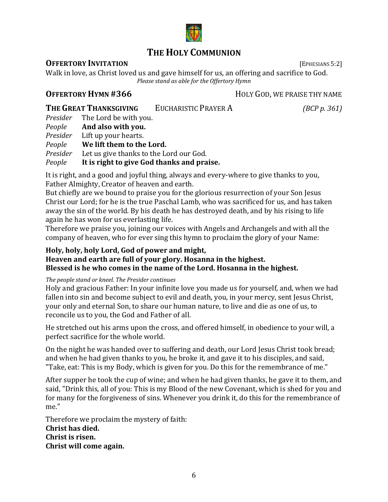

# **THE HOLY COMMUNION**

### **OFFERTORY INVITATION** [EPHESIANS 5:2]

Walk in love, as Christ loved us and gave himself for us, an offering and sacrifice to God. *Please stand as able for the Offertory Hymn* 

**OFFERTORY HYMN #366** HOLY GOD, WE PRAISE THY NAME

#### **THE GREAT THANKSGIVING** EUCHARISTIC PRAYER A *(BCP p. 361) Presider* The Lord be with

|          | <i>Presider</i> I he Lord be with you.     |
|----------|--------------------------------------------|
| People   | And also with you.                         |
| Presider | Lift up your hearts.                       |
| People   | We lift them to the Lord.                  |
| Presider | Let us give thanks to the Lord our God.    |
| People   | It is right to give God thanks and praise. |

It is right, and a good and joyful thing, always and every-where to give thanks to you, Father Almighty, Creator of heaven and earth.

But chiefly are we bound to praise you for the glorious resurrection of your Son Jesus Christ our Lord; for he is the true Paschal Lamb, who was sacrificed for us, and has taken away the sin of the world. By his death he has destroyed death, and by his rising to life again he has won for us everlasting life.

Therefore we praise you, joining our voices with Angels and Archangels and with all the company of heaven, who for ever sing this hymn to proclaim the glory of your Name:

## Holy, holy, holy Lord, God of power and might, Heaven and earth are full of your glory. Hosanna in the highest. Blessed is he who comes in the name of the Lord. Hosanna in the highest.

*The people stand or kneel. The Presider continues* 

Holy and gracious Father: In your infinite love you made us for yourself, and, when we had fallen into sin and become subject to evil and death, you, in your mercy, sent Jesus Christ, your only and eternal Son, to share our human nature, to live and die as one of us, to reconcile us to you, the God and Father of all.

He stretched out his arms upon the cross, and offered himself, in obedience to your will, a perfect sacrifice for the whole world.

On the night he was handed over to suffering and death, our Lord Jesus Christ took bread; and when he had given thanks to you, he broke it, and gave it to his disciples, and said, "Take, eat: This is my Body, which is given for you. Do this for the remembrance of me."

After supper he took the cup of wine; and when he had given thanks, he gave it to them, and said, "Drink this, all of you: This is my Blood of the new Covenant, which is shed for you and for many for the forgiveness of sins. Whenever you drink it, do this for the remembrance of me."

Therefore we proclaim the mystery of faith: **Christ has died. Christ is risen. Christ will come again.** 

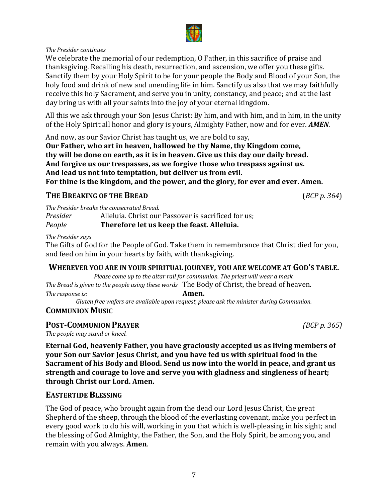*The Presider continues*

We celebrate the memorial of our redemption, O Father, in this sacrifice of praise and thanksgiving. Recalling his death, resurrection, and ascension, we offer you these gifts. Sanctify them by your Holy Spirit to be for your people the Body and Blood of your Son, the holy food and drink of new and unending life in him. Sanctify us also that we may faithfully receive this holy Sacrament, and serve you in unity, constancy, and peace; and at the last day bring us with all your saints into the joy of your eternal kingdom.

All this we ask through your Son Jesus Christ: By him, and with him, and in him, in the unity of the Holy Spirit all honor and glory is yours, Almighty Father, now and for ever. *AMEN*.

And now, as our Savior Christ has taught us, we are bold to say,

Our Father, who art in heaven, hallowed be thy Name, thy Kingdom come, thy will be done on earth, as it is in heaven. Give us this day our daily bread. And forgive us our trespasses, as we forgive those who trespass against us. And lead us not into temptation, but deliver us from evil. For thine is the kingdom, and the power, and the glory, for ever and ever. Amen.

# **THE BREAKING OF THE BREAD** (*BCP p.* 364)

*The Presider breaks the consecrated Bread.* 

*Presider* Alleluia. Christ our Passover is sacrificed for us;<br>*People* **Therefore let us keep the feast. Alleluia. Therefore let us keep the feast. Alleluia.** 

*The Presider says*

The Gifts of God for the People of God. Take them in remembrance that Christ died for you, and feed on him in your hearts by faith, with thanksgiving.

#### WHEREVER YOU ARE IN YOUR SPIRITUAL JOURNEY, YOU ARE WELCOME AT GOD'S TABLE.

Please come up to the altar rail for communion. The priest will wear a mask. *The Bread is given to the people using these words* The Body of Christ, the bread of heaven.<br>The response is: **Amen.** *The response is:* 

Gluten free wafers are available upon request, please ask the minister during Communion.

# **COMMUNION MUSIC**

## **POST-COMMUNION PRAYER** *(BCP p. 365)*

The people may stand or kneel.

**Eternal God, heavenly Father, you have graciously accepted us as living members of your Son our Savior Jesus Christ, and you have fed us with spiritual food in the Sacrament of his Body and Blood. Send us now into the world in peace, and grant us** strength and courage to love and serve you with gladness and singleness of heart; through Christ our Lord. Amen.

## **EASTERTIDE BLESSING**

The God of peace, who brought again from the dead our Lord Jesus Christ, the great Shepherd of the sheep, through the blood of the everlasting covenant, make you perfect in every good work to do his will, working in you that which is well-pleasing in his sight; and the blessing of God Almighty, the Father, the Son, and the Holy Spirit, be among you, and remain with you always. **Amen.**